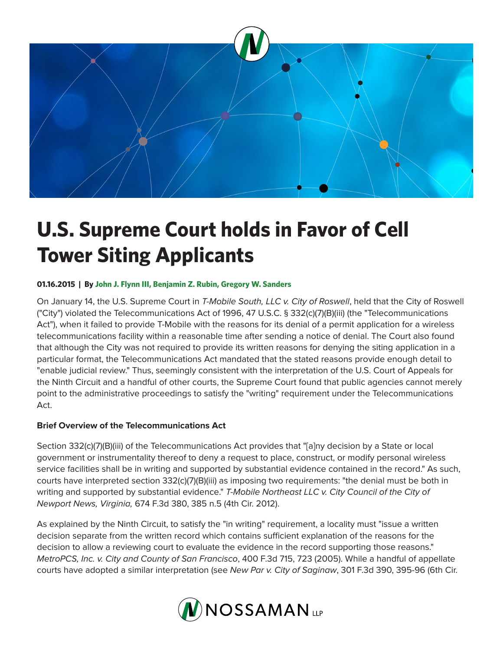

# **U.S. Supreme Court holds in Favor of Cell Tower Siting Applicants**

# **01.16.2015 | By John J. Flynn III, Benjamin Z. Rubin, Gregory W. Sanders**

On January 14, the U.S. Supreme Court in *T-Mobile South, LLC v. City of Roswell*, held that the City of Roswell ("City") violated the Telecommunications Act of 1996, 47 U.S.C. § 332(c)(7)(B)(iii) (the "Telecommunications Act"), when it failed to provide T-Mobile with the reasons for its denial of a permit application for a wireless telecommunications facility within a reasonable time after sending a notice of denial. The Court also found that although the City was not required to provide its written reasons for denying the siting application in a particular format, the Telecommunications Act mandated that the stated reasons provide enough detail to "enable judicial review." Thus, seemingly consistent with the interpretation of the U.S. Court of Appeals for the Ninth Circuit and a handful of other courts, the Supreme Court found that public agencies cannot merely point to the administrative proceedings to satisfy the "writing" requirement under the Telecommunications Act.

# **Brief Overview of the Telecommunications Act**

Section 332(c)(7)(B)(iii) of the Telecommunications Act provides that "[a]ny decision by a State or local government or instrumentality thereof to deny a request to place, construct, or modify personal wireless service facilities shall be in writing and supported by substantial evidence contained in the record." As such, courts have interpreted section 332(c)(7)(B)(iii) as imposing two requirements: "the denial must be both in writing and supported by substantial evidence." *T-Mobile Northeast LLC v. City Council of the City of Newport News, Virginia,* 674 F.3d 380, 385 n.5 (4th Cir. 2012).

As explained by the Ninth Circuit, to satisfy the "in writing" requirement, a locality must "issue a written decision separate from the written record which contains sufficient explanation of the reasons for the decision to allow a reviewing court to evaluate the evidence in the record supporting those reasons." *MetroPCS, Inc. v. City and County of San Francisco*, 400 F.3d 715, 723 (2005). While a handful of appellate courts have adopted a similar interpretation (see *New Par v. City of Saginaw*, 301 F.3d 390, 395-96 (6th Cir.

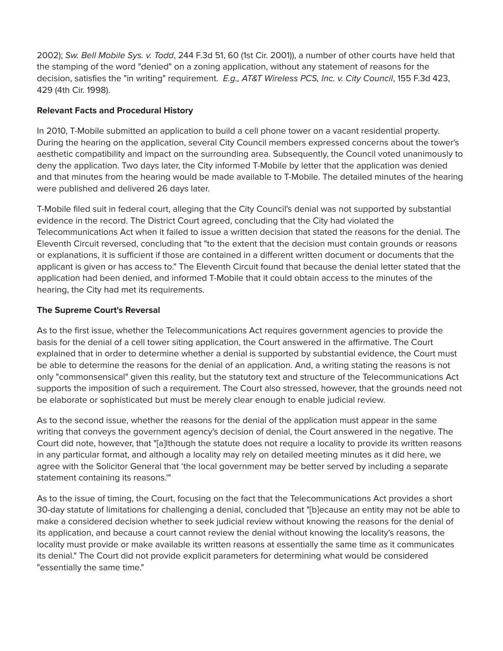2002); *Sw. Bell Mobile Sys. v. Todd*, 244 F.3d 51, 60 (1st Cir. 2001)), a number of other courts have held that the stamping of the word "denied" on a zoning application, without any statement of reasons for the decision, satisfies the "in writing" requirement. *E.g., AT&T Wireless PCS, Inc. v. City Council*, 155 F.3d 423, 429 (4th Cir. 1998).

# **Relevant Facts and Procedural History**

In 2010, T-Mobile submitted an application to build a cell phone tower on a vacant residential property. During the hearing on the application, several City Council members expressed concerns about the tower's aesthetic compatibility and impact on the surrounding area. Subsequently, the Council voted unanimously to deny the application. Two days later, the City informed T-Mobile by letter that the application was denied and that minutes from the hearing would be made available to T-Mobile. The detailed minutes of the hearing were published and delivered 26 days later.

T-Mobile filed suit in federal court, alleging that the City Council's denial was not supported by substantial evidence in the record. The District Court agreed, concluding that the City had violated the Telecommunications Act when it failed to issue a written decision that stated the reasons for the denial. The Eleventh Circuit reversed, concluding that "to the extent that the decision must contain grounds or reasons or explanations, it is sufficient if those are contained in a different written document or documents that the applicant is given or has access to." The Eleventh Circuit found that because the denial letter stated that the application had been denied, and informed T-Mobile that it could obtain access to the minutes of the hearing, the City had met its requirements.

# **The Supreme Court's Reversal**

As to the first issue, whether the Telecommunications Act requires government agencies to provide the basis for the denial of a cell tower siting application, the Court answered in the affirmative. The Court explained that in order to determine whether a denial is supported by substantial evidence, the Court must be able to determine the reasons for the denial of an application. And, a writing stating the reasons is not only "commonsensical" given this reality, but the statutory text and structure of the Telecommunications Act supports the imposition of such a requirement. The Court also stressed, however, that the grounds need not be elaborate or sophisticated but must be merely clear enough to enable judicial review.

As to the second issue, whether the reasons for the denial of the application must appear in the same writing that conveys the government agency's decision of denial, the Court answered in the negative. The Court did note, however, that "[a]lthough the statute does not require a locality to provide its written reasons in any particular format, and although a locality may rely on detailed meeting minutes as it did here, we agree with the Solicitor General that 'the local government may be better served by including a separate statement containing its reasons.'"

As to the issue of timing, the Court, focusing on the fact that the Telecommunications Act provides a short 30-day statute of limitations for challenging a denial, concluded that "[b]ecause an entity may not be able to make a considered decision whether to seek judicial review without knowing the reasons for the denial of its application, and because a court cannot review the denial without knowing the locality's reasons, the locality must provide or make available its written reasons at essentially the same time as it communicates its denial." The Court did not provide explicit parameters for determining what would be considered "essentially the same time."